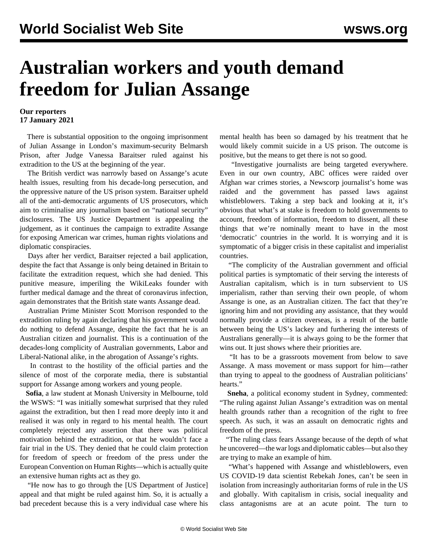## **Australian workers and youth demand freedom for Julian Assange**

## **Our reporters 17 January 2021**

 There is substantial opposition to the ongoing imprisonment of Julian Assange in London's maximum-security Belmarsh Prison, after Judge Vanessa Baraitser ruled against his extradition to the US at the beginning of the year.

 The British verdict was narrowly based on Assange's acute health issues, resulting from his decade-long persecution, and the oppressive nature of the US prison system. Baraitser upheld all of the anti-democratic arguments of US prosecutors, which aim to criminalise any journalism based on "national security" disclosures. The US Justice Department is appealing the judgement, as it continues the campaign to extradite Assange for exposing American war crimes, human rights violations and diplomatic conspiracies.

 Days after her verdict, Baraitser rejected a bail application, despite the fact that Assange is only being detained in Britain to facilitate the extradition request, which she had denied. This punitive measure, imperiling the WikiLeaks founder with further medical damage and the threat of coronavirus infection, again demonstrates that the British state wants Assange dead.

 Australian Prime Minister Scott Morrison responded to the extradition ruling by again declaring that his government would do nothing to defend Assange, despite the fact that he is an Australian citizen and journalist. This is a continuation of the decades-long complicity of Australian governments, Labor and Liberal-National alike, in the abrogation of Assange's rights.

 In contrast to the hostility of the official parties and the silence of most of the corporate media, there is substantial support for Assange among workers and young people.

 **Sofia**, a law student at Monash University in Melbourne, told the WSWS: "I was initially somewhat surprised that they ruled against the extradition, but then I read more deeply into it and realised it was only in regard to his mental health. The court completely rejected any assertion that there was political motivation behind the extradition, or that he wouldn't face a fair trial in the US. They denied that he could claim protection for freedom of speech or freedom of the press under the European Convention on Human Rights—which is actually quite an extensive human rights act as they go.

 "He now has to go through the [US Department of Justice] appeal and that might be ruled against him. So, it is actually a bad precedent because this is a very individual case where his mental health has been so damaged by his treatment that he would likely commit suicide in a US prison. The outcome is positive, but the means to get there is not so good.

 "Investigative journalists are being targeted everywhere. Even in our own country, ABC offices were raided over Afghan war crimes stories, a Newscorp journalist's home was raided and the government has passed laws against whistleblowers. Taking a step back and looking at it, it's obvious that what's at stake is freedom to hold governments to account, freedom of information, freedom to dissent, all these things that we're nominally meant to have in the most 'democratic' countries in the world. It is worrying and it is symptomatic of a bigger crisis in these capitalist and imperialist countries.

 "The complicity of the Australian government and official political parties is symptomatic of their serving the interests of Australian capitalism, which is in turn subservient to US imperialism, rather than serving their own people, of whom Assange is one, as an Australian citizen. The fact that they're ignoring him and not providing any assistance, that they would normally provide a citizen overseas, is a result of the battle between being the US's lackey and furthering the interests of Australians generally—it is always going to be the former that wins out. It just shows where their priorities are.

 "It has to be a grassroots movement from below to save Assange. A mass movement or mass support for him—rather than trying to appeal to the goodness of Australian politicians' hearts."

 **Sneha**, a political economy student in Sydney, commented: "The ruling against Julian Assange's extradition was on mental health grounds rather than a recognition of the right to free speech. As such, it was an assault on democratic rights and freedom of the press.

 "The ruling class fears Assange because of the depth of what he uncovered—the war logs and diplomatic cables—but also they are trying to make an example of him.

 "What's happened with Assange and whistleblowers, even US COVID-19 data scientist Rebekah Jones, can't be seen in isolation from increasingly authoritarian forms of rule in the US and globally. With capitalism in crisis, social inequality and class antagonisms are at an acute point. The turn to